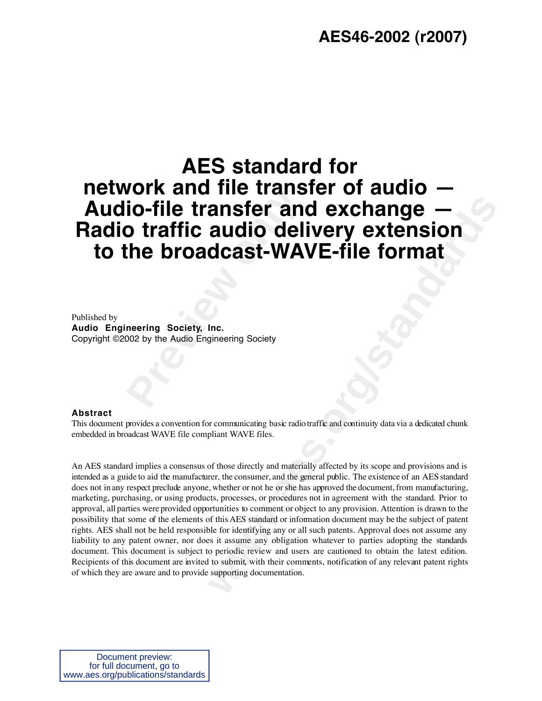### **AES46-2002 (r2007)**

# **Profile transfer and<br>
<b>Preview transfer and**<br> **Preview of the broadcast-WAY**<br> **Preview Society, Inc.**<br> **Preview** Society, Inc.<br> **Preview** Audio Engineering Society **AES standard for network and file transfer of audio — Audio-file transfer and exchange — Radio traffic audio delivery extension to the broadcast-WAVE-file format**

Published by **Audio Engineering Society, Inc.** Copyright ©2002 by the Audio Engineering Society

#### **Abstract**

This document provides a convention for communicating basic radio traffic and continuity data via a dedicated chunk embedded in broadcast WAVE file compliant WAVE files.

**ansfer and exchange —**<br> **audio delivery extension**<br> **dcast-WAVE-file format**<br> **lnc.**<br> **lnc.**<br> **lnc.**<br> **w** communicating basic radiotraffic and continuity data via a dedicated chunk<br>
pliant WAVE files.<br>
of those directly a An AES standard implies a consensus of those directly and materially affected by its scope and provisions and is intended as a guide to aid the manufacturer, the consumer, and the general public. The existence of an AES standard does not in any respect preclude anyone, whether or not he or she has approved the document, from manufacturing, marketing, purchasing, or using products, processes, or procedures not in agreement with the standard. Prior to approval, all parties were provided opportunities to comment or object to any provision. Attention is drawn to the possibility that some of the elements of this AES standard or information document may be the subject of patent rights. AES shall not be held responsible for identifying any or all such patents. Approval does not assume any liability to any patent owner, nor does it assume any obligation whatever to parties adopting the standards document. This document is subject to periodic review and users are cautioned to obtain the latest edition. Recipients of this document are invited to submit, with their comments, notification of any relevant patent rights of which they are aware and to provide supporting documentation.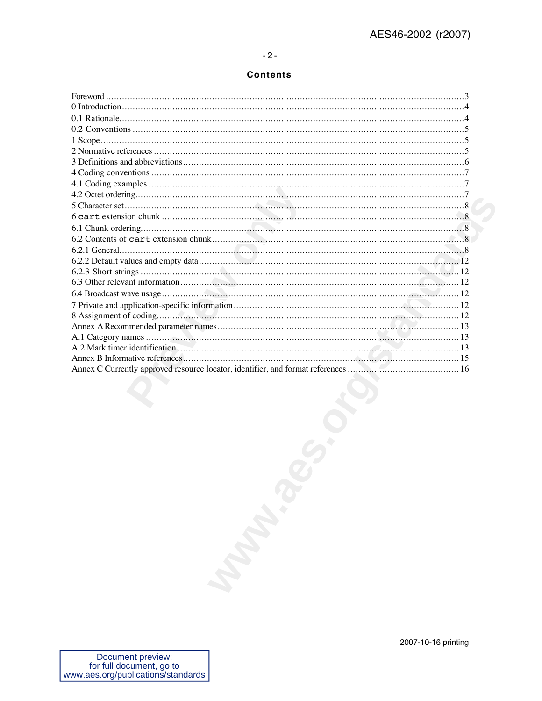#### $-2-$

#### **Contents**

| Document preview: | 2007-10-16 printing |
|-------------------|---------------------|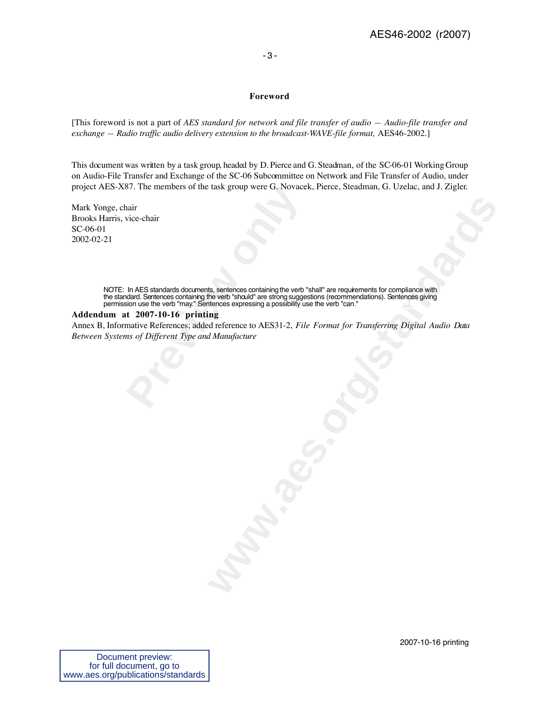#### - 3 -

#### **Foreword**

[This foreword is not a part of *AES standard for network and file transfer of audio — Audio-file transfer and exchange – Radio traffic audio delivery extension to the broadcast-WAVE-file format, AES46-2002.*]

This document was written by a task group, headed by D. Pierce and G. Steadman, of the SC-06-01 Working Group on Audio-File Transfer and Exchange of the SC-06 Subcommittee on Network and File Transfer of Audio, under project AES-X87. The members of the task group were G. Novacek, Pierce, Steadman, G. Uzelac, and J. Zigler.

Mark Yonge, chair Brooks Harris, vice-chair SC-06-01 2002-02-21

**Previously** The members of the task group were G. Novace thair<br>
vice-chair<br>
in AES standards documents, sentences containing the verb<br>
dard. Sentences containing the verb "should" are strong sugges<br> **t** 2007-10-16 printin NOTE: In AES standards documents, sentences containing the verb "shall" are requirements for compliance with the standard. Sentences containing the verb "should" are strong suggestions (recommendations). Sentences giving permission use the verb "may." Sentences expressing a possibility use the verb "can."

#### **Addendum at 2007-10-16 printing**

Annex B, Informative References; added reference to AES31-2, *File Format for Transferring Digital Audio Data Between Systems of Different Type and Manufacture*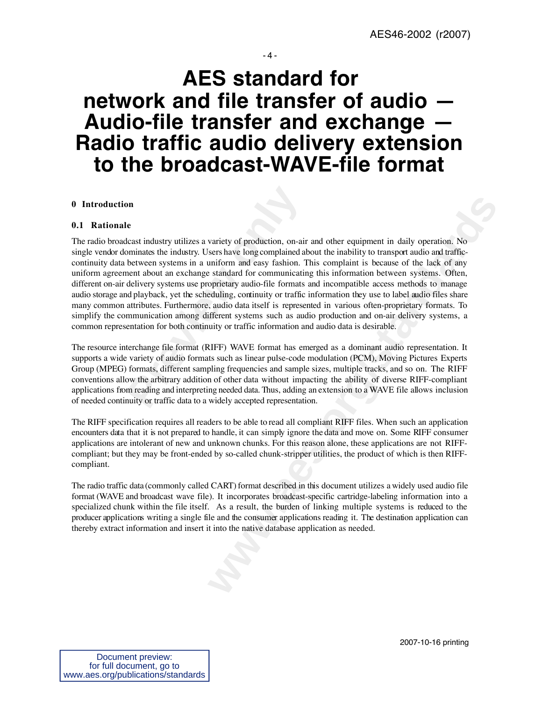#### - 4 -

## **AES standard for network and file transfer of audio — Audio-file transfer and exchange — Radio traffic audio delivery extension to the broadcast-WAVE-file format**

#### **0 Introduction**

#### **0.1 Rationale**

**Properties:**<br> **Preview the example the industry utilizes a variety of production, on-air pominates the industry. Users have long complained at between systems in a uniform and easy fashion. Then the about an exchange stan** variety of production, on-air and other equipment in daily operation. No<br>variety of production, on-air and other institutive to transpert aution. Mis-<br>uniform and easy fashion. This complaint is because of the lack of any<br> The radio broadcast industry utilizes a variety of production, on-air and other equipment in daily operation. No single vendor dominates the industry. Users have long complained about the inability to transport audio and trafficcontinuity data between systems in a uniform and easy fashion. This complaint is because of the lack of any uniform agreement about an exchange standard for communicating this information between systems. Often, different on-air delivery systems use proprietary audio-file formats and incompatible access methods to manage audio storage and playback, yet the scheduling, continuity or traffic information they use to label audio files share many common attributes. Furthermore, audio data itself is represented in various often-proprietary formats. To simplify the communication among different systems such as audio production and on-air delivery systems, a common representation for both continuity or traffic information and audio data is desirable.

The resource interchange file format (RIFF) WAVE format has emerged as a dominant audio representation. It supports a wide variety of audio formats such as linear pulse-code modulation (PCM), Moving Pictures Experts Group (MPEG) formats, different sampling frequencies and sample sizes, multiple tracks, and so on. The RIFF conventions allow the arbitrary addition of other data without impacting the ability of diverse RIFF-compliant applications from reading and interpreting needed data. Thus, adding an extension to a WAVE file allows inclusion of needed continuity or traffic data to a widely accepted representation.

The RIFF specification requires all readers to be able to read all compliant RIFF files. When such an application encounters data that it is not prepared to handle, it can simply ignore the data and move on. Some RIFF consumer applications are intolerant of new and unknown chunks. For this reason alone, these applications are not RIFFcompliant; but they may be front-ended by so-called chunk-stripper utilities, the product of which is then RIFFcompliant.

The radio traffic data (commonly called CART) format described in this document utilizes a widely used audio file format (WAVE and broadcast wave file). It incorporates broadcast-specific cartridge-labeling information into a specialized chunk within the file itself. As a result, the burden of linking multiple systems is reduced to the producer applications writing a single file and the consumer applications reading it. The destination application can thereby extract information and insert it into the native database application as needed.